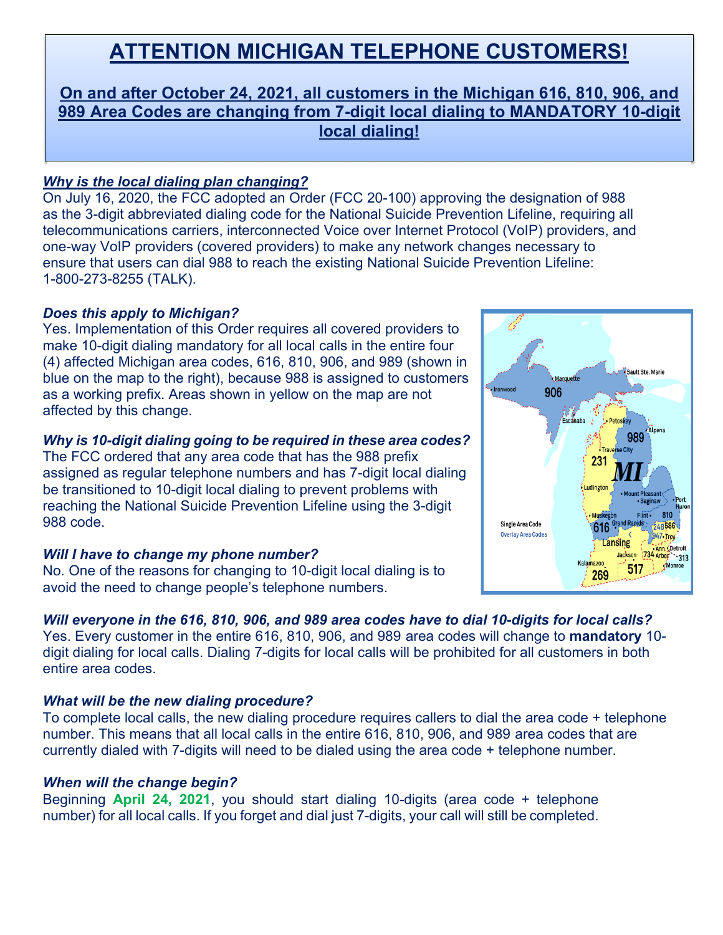# **ATTENTION MICHIGAN TELEPHONE CUSTOMERS!**

# **On and after October 24, 2021, all customers in the Michigan 616, 810, 906, and 989 Area Codes are changing from 7-digit local dialing to MANDATORY 10-digit local dialing!**

## *Why is the local dialing plan changing?*

On July 16, 2020, the FCC adopted an Order (FCC 20-100) approving the designation of 988 as the 3-digit abbreviated dialing code for the National Suicide Prevention Lifeline, requiring all telecommunications carriers, interconnected Voice over Internet Protocol (VoIP) providers, and one-way VoIP providers (covered providers) to make any network changes necessary to ensure that users can dial 988 to reach the existing National Suicide Prevention Lifeline: 1-800-273-8255 (TALK).

### *Does this apply to Michigan?*

Yes. Implementation of this Order requires all covered providers to make 10-digit dialing mandatory for all local calls in the entire four (4) affected Michigan area codes, 616, 810, 906, and 989 (shown in blue on the map to the right), because 988 is assigned to customers as a working prefix. Areas shown in yellow on the map are not affected by this change.

### *Why is 10-digit dialing going to be required in these area codes?*

The FCC ordered that any area code that has the 988 prefix assigned as regular telephone numbers and has 7-digit local dialing be transitioned to 10-digit local dialing to prevent problems with reaching the National Suicide Prevention Lifeline using the 3-digit 988 code.

# *Will I have to change my phone number?*

No. One of the reasons for changing to 10-digit local dialing is to avoid the need to change people's telephone numbers.

# *Will everyone in the 616, 810, 906, and 989 area codes have to dial 10-digits for local calls?*

Yes. Every customer in the entire 616, 810, 906, and 989 area codes will change to **mandatory** 10 digit dialing for local calls. Dialing 7-digits for local calls will be prohibited for all customers in both entire area codes.

#### *What will be the new dialing procedure?*

To complete local calls, the new dialing procedure requires callers to dial the area code + telephone number. This means that all local calls in the entire 616, 810, 906, and 989 area codes that are currently dialed with 7-digits will need to be dialed using the area code + telephone number.

#### *When will the change begin?*

Beginning **April 24, 2021**, you should start dialing 10-digits (area code + telephone number) for all local calls. If you forget and dial just 7-digits, your call will still be completed.